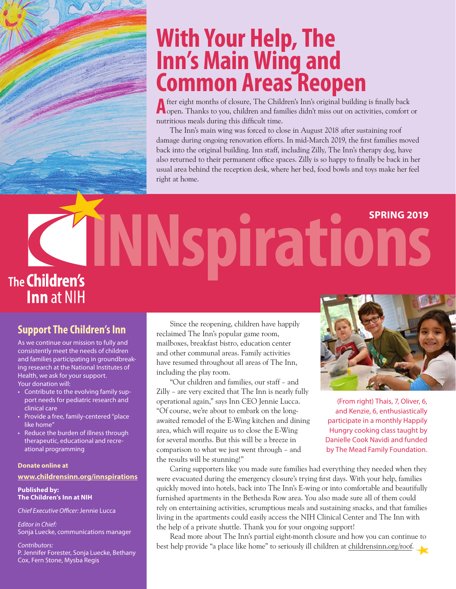## With Your Help, The **Inn's Main Wing and Common Areas Reopen**

After eight months of closure, The Children's Inn's original building is finally back open. Thanks to you, children and families didn't miss out on activities, comfort or nutritious meals during this difficult time.

The Inn's main wing was forced to close in August 2018 after sustaining roof damage during ongoing renovation efforts. In mid-March 2019, the first families moved back into the original building. Inn staff, including Zilly, The Inn's therapy dog, have also returned to their permanent office spaces. Zilly is so happy to finally be back in her usual area behind the reception desk, where her bed, food bowls and toys make her feel right at home.

# **INNspirations SPRING 2019 The Children's Inn** at NIH

## **Support The Children's Inn**

As we continue our mission to fully and consistently meet the needs of children and families participating in groundbreaking research at the National Institutes of Health, we ask for your support. Your donation will:

- Contribute to the evolving family support needs for pediatric research and clinical care
- Provide a free, family-centered "place like home<sup>®</sup>
- Reduce the burden of illness through therapeutic, educational and recreational programming

#### **Donate online at**

#### **www.childrensinn.org/innspirations**

**Published by: The Children's Inn at NIH**

*Chief Executive Officer:* Jennie Lucca

*Editor in Chief:* Sonja Luecke, communications manager

*Contributors:* P. Jennifer Forester, Sonja Luecke, Bethany Cox, Fern Stone, Mysba Regis

Since the reopening, children have happily reclaimed The Inn's popular game room, mailboxes, breakfast bistro, education center and other communal areas. Family activities have resumed throughout all areas of The Inn, including the play room.

"Our children and families, our staff – and Zilly – are very excited that The Inn is nearly fully operational again," says Inn CEO Jennie Lucca. "Of course, we're about to embark on the longawaited remodel of the E-Wing kitchen and dining area, which will require us to close the E-Wing for several months. But this will be a breeze in comparison to what we just went through – and the results will be stunning!"



(From right) Thais, 7, Oliver, 6, and Kenzie, 6, enthusiastically participate in a monthly Happily Hungry cooking class taught by Danielle Cook Navidi and funded by The Mead Family Foundation.

Caring supporters like you made sure families had everything they needed when they were evacuated during the emergency closure's trying first days. With your help, families quickly moved into hotels, back into The Inn's E-wing or into comfortable and beautifully furnished apartments in the Bethesda Row area. You also made sure all of them could rely on entertaining activities, scrumptious meals and sustaining snacks, and that families living in the apartments could easily access the NIH Clinical Center and The Inn with the help of a private shuttle. Thank you for your ongoing support!

Read more about The Inn's partial eight-month closure and how you can continue to best help provide "a place like home" to seriously ill children at childrensinn.org/roof.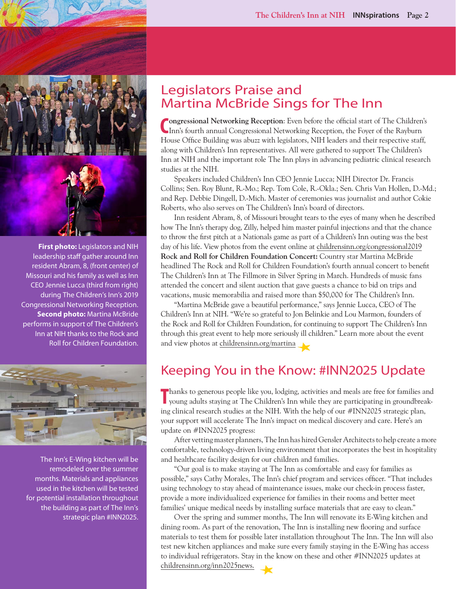

**First photo:** Legislators and NIH leadership staff gather around Inn resident Abram, 8, (front center) of Missouri and his family as well as Inn CEO Jennie Lucca (third from right) during The Children's Inn's 2019 Congressional Networking Reception. **Second photo: Martina McBride** performs in support of The Children's Inn at NIH thanks to the Rock and Roll for Children Foundation.



The Inn's E-Wing kitchen will be remodeled over the summer months. Materials and appliances used in the kitchen will be tested for potential installation throughout the building as part of The Inn's strategic plan #INN2025.

## Legislators Praise and Martina McBride Sings for The Inn

Congressional Networking Reception: Even before the official start of The Children Inn's fourth annual Congressional Networking Reception, the Foyer of the Rayburn **ongressional Networking Reception**: Even before the official start of The Children's House Office Building was abuzz with legislators, NIH leaders and their respective staff, along with Children's Inn representatives. All were gathered to support The Children's Inn at NIH and the important role The Inn plays in advancing pediatric clinical research studies at the NIH.

Speakers included Children's Inn CEO Jennie Lucca; NIH Director Dr. Francis Collins; Sen. Roy Blunt, R.-Mo.; Rep. Tom Cole, R.-Okla.; Sen. Chris Van Hollen, D.-Md.; and Rep. Debbie Dingell, D.-Mich. Master of ceremonies was journalist and author Cokie Roberts, who also serves on The Children's Inn's board of directors.

Inn resident Abram, 8, of Missouri brought tears to the eyes of many when he described how The Inn's therapy dog, Zilly, helped him master painful injections and that the chance to throw the first pitch at a Nationals game as part of a Children's Inn outing was the best day of his life. View photos from the event online at childrensinn.org/congressional2019 **Rock and Roll for Children Foundation Concert:** Country star Martina McBride headlined The Rock and Roll for Children Foundation's fourth annual concert to benefit The Children's Inn at The Fillmore in Silver Spring in March. Hundreds of music fans attended the concert and silent auction that gave guests a chance to bid on trips and vacations, music memorabilia and raised more than \$50,000 for The Children's Inn.

"Martina McBride gave a beautiful performance," says Jennie Lucca, CEO of The Children's Inn at NIH. "We're so grateful to Jon Belinkie and Lou Marmon, founders of the Rock and Roll for Children Foundation, for continuing to support The Children's Inn through this great event to help more seriously ill children." Learn more about the event and view photos at childrensinn.org/martina

## Keeping You in the Know: #INN2025 Update

**Thanks to generous people like you, lodging, activities and meals are free for families and** young adults staying at The Children's Inn while they are participating in groundbreaking clinical research studies at the NIH. With the help of our #INN2025 strategic plan, your support will accelerate The Inn's impact on medical discovery and care. Here's an update on #INN2025 progress:

After vetting master planners, The Inn has hired Gensler Architects to help create a more comfortable, technology-driven living environment that incorporates the best in hospitality and healthcare facility design for our children and families.

"Our goal is to make staying at The Inn as comfortable and easy for families as possible," says Cathy Morales, The Inn's chief program and services officer. "That includes using technology to stay ahead of maintenance issues, make our check-in process faster, provide a more individualized experience for families in their rooms and better meet families' unique medical needs by installing surface materials that are easy to clean."

Over the spring and summer months, The Inn will renovate its E-Wing kitchen and dining room. As part of the renovation, The Inn is installing new flooring and surface materials to test them for possible later installation throughout The Inn. The Inn will also test new kitchen appliances and make sure every family staying in the E-Wing has access to individual refrigerators. Stay in the know on these and other #INN2025 updates at childrensinn.org/inn2025news.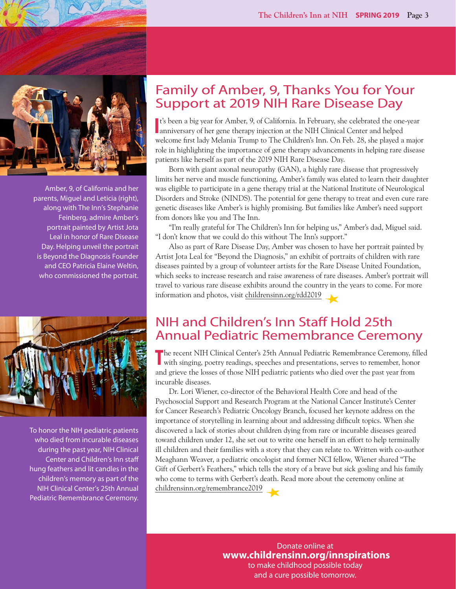

Amber, 9, of California and her parents, Miguel and Leticia (right), along with The Inn's Stephanie Feinberg, admire Amber's portrait painted by Artist Jota Leal in honor of Rare Disease Day. Helping unveil the portrait is Beyond the Diagnosis Founder and CEO Patricia Elaine Weltin, who commissioned the portrait.



To honor the NIH pediatric patients who died from incurable diseases during the past year, NIH Clinical Center and Children's Inn staff hung feathers and lit candles in the children's memory as part of the NIH Clinical Center's 25th Annual Pediatric Remembrance Ceremony.

## Family of Amber, 9, Thanks You for Your Support at 2019 NIH Rare Disease Day

**I**<sup>t's</sup> been a big year for Amber, 9, of California. In February, she celebrated the one anniversary of her gene therapy injection at the NIH Clinical Center and helped t's been a big year for Amber, 9, of California. In February, she celebrated the one-year welcome first lady Melania Trump to The Children's Inn. On Feb. 28, she played a major role in highlighting the importance of gene therapy advancements in helping rare disease patients like herself as part of the 2019 NIH Rare Disease Day.

Born with giant axonal neuropathy (GAN), a highly rare disease that progressively limits her nerve and muscle functioning, Amber's family was elated to learn their daughter was eligible to participate in a gene therapy trial at the National Institute of Neurological Disorders and Stroke (NINDS). The potential for gene therapy to treat and even cure rare genetic diseases like Amber's is highly promising. But families like Amber's need support from donors like you and The Inn.

"I'm really grateful for The Children's Inn for helping us," Amber's dad, Miguel said. "I don't know that we could do this without The Inn's support."

Also as part of Rare Disease Day, Amber was chosen to have her portrait painted by Artist Jota Leal for "Beyond the Diagnosis," an exhibit of portraits of children with rare diseases painted by a group of volunteer artists for the Rare Disease United Foundation, which seeks to increase research and raise awareness of rare diseases. Amber's portrait will travel to various rare disease exhibits around the country in the years to come. For more information and photos, visit childrensinn.org/rdd2019

## NIH and Children's Inn Staff Hold 25th Annual Pediatric Remembrance Ceremony

The recent NIH Clinical Center's 25th Annual Pediatric Remembrance Ceremony, filled with singing, poetry readings, speeches and presentations, serves to remember, honor with singing, poetry readings, speeches and presentations, serves to remember, honor and grieve the losses of those NIH pediatric patients who died over the past year from incurable diseases.

Dr. Lori Wiener, co-director of the Behavioral Health Core and head of the Psychosocial Support and Research Program at the National Cancer Institute's Center for Cancer Research's Pediatric Oncology Branch, focused her keynote address on the importance of storytelling in learning about and addressing difficult topics. When she discovered a lack of stories about children dying from rare or incurable diseases geared toward children under 12, she set out to write one herself in an effort to help terminally ill children and their families with a story that they can relate to. Written with co-author Meaghann Weaver, a pediatric oncologist and former NCI fellow, Wiener shared "The Gift of Gerbert's Feathers," which tells the story of a brave but sick gosling and his family who come to terms with Gerbert's death. Read more about the ceremony online at childrensinn.org/remembrance2019

> Donate online at **www.childrensinn.org/innspirations** to make childhood possible today and a cure possible tomorrow.